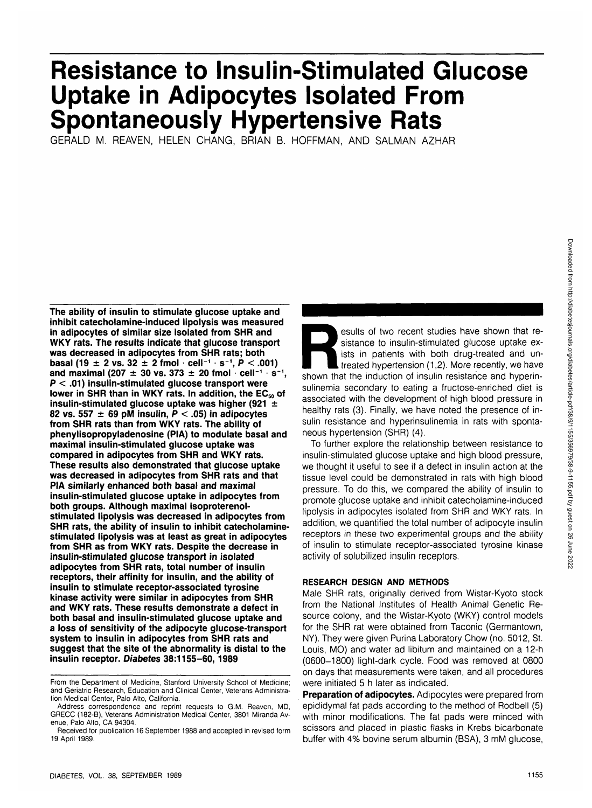# **Resistance to Insulin-Stimulated Glucose Uptake in Adipocytes Isolated From Spontaneously Hypertensive Rats**

GERALD M. REAVEN, HELEN CHANG, BRIAN B. HOFFMAN, AND SALMAN AZHAR

**The ability of insulin to stimulate glucose uptake and inhibit catecholamine-induced lipolysis was measured in adipocytes of similar size isolated from SHR and WKY rats. The results indicate that glucose transport was decreased in adipocytes from SHR rats; both basal (19**  $\pm$  **2 vs. 32**  $\pm$  **2 fmol**  $\cdot$  cell<sup>-1</sup>  $\cdot$  s<sup>-1</sup>,  $P$  < .001) and maximal (207  $\pm$  30 vs. 373  $\pm$  20 fmol  $\cdot$  cell<sup>-1</sup>  $\cdot$  s<sup>-1</sup>, **P < .01) insulin-stimulated glucose transport were** lower in SHR than in WKY rats. In addition, the EC<sub>50</sub> of **insulin-stimulated glucose uptake was higher (921 ± 82 vs. 557**  $\pm$  **69 pM insulin, P < .05) in adipocytes from SHR rats than from WKY rats. The ability of phenylisopropyladenosine (PIA) to modulate basal and maximal insulin-stimulated glucose uptake was compared in adipocytes from SHR and WKY rats. These results also demonstrated that glucose uptake was decreased in adipocytes from SHR rats and that PIA similarly enhanced both basal and maximal insulin-stimulated glucose uptake in adipocytes from both groups. Although maximal isoproterenolstimulated lipolysis was decreased in adipocytes from SHR rats, the ability of insulin to inhibit catecholaminestimulated lipolysis was at least as great in adipocytes from SHR as from WKY rats. Despite the decrease in insulin-stimulated glucose transport in isolated adipocytes from SHR rats, total number of insulin receptors, their affinity for insulin, and the ability of insulin to stimulate receptor-associated tyrosine kinase activity were similar in adipocytes from SHR and WKY rats. These results demonstrate a defect in both basal and insulin-stimulated glucose uptake and a loss of sensitivity of the adipocyte glucose-transport system to insulin in adipocytes from SHR rats and suggest that the site of the abnormality is distal to the insulin receptor. Diabetes 38:1155-60,1989**

esults of two recent studies have shown that resistance to insulin-stimulated glucose uptake exists in patients with both drug-treated and untreated hypertension (1,2). More recently, we have shown that the induction of in sistance to insulin-stimulated glucose uptake exists in patients with both drug-treated and untreated hypertension (1,2). More recently, we have sulinemia secondary to eating a fructose-enriched diet is associated with the development of high blood pressure in healthy rats (3). Finally, we have noted the presence of insulin resistance and hyperinsulinemia in rats with spontaneous hypertension (SHR) (4).

To further explore the relationship between resistance to insulin-stimulated glucose uptake and high blood pressure, we thought it useful to see if a defect in insulin action at the tissue level could be demonstrated in rats with high blood pressure. To do this, we compared the ability of insulin to promote glucose uptake and inhibit catecholamine-induced lipolysis in adipocytes isolated from SHR and WKY rats. In addition, we quantified the total number of adipocyte insulin receptors in these two experimental groups and the ability of insulin to stimulate receptor-associated tyrosine kinase activity of solubilized insulin receptors.

#### **RESEARCH DESIGN AND METHODS**

Male SHR rats, originally derived from Wistar-Kyoto stock from the National Institutes of Health Animal Genetic Resource colony, and the Wistar-Kyoto (WKY) control models for the SHR rat were obtained from Taconic (Germantown, NY). They were given Purina Laboratory Chow (no. 5012, St. Louis, MO) and water ad libitum and maintained on a 12-h (0600-1800) light-dark cycle. Food was removed at 0800 on days that measurements were taken, and all procedures were initiated 5 h later as indicated.

**Preparation of adipocytes.** Adipocytes were prepared from epididymal fat pads according to the method of Rodbell (5) with minor modifications. The fat pads were minced with scissors and placed in plastic flasks in Krebs bicarbonate buffer with 4% bovine serum albumin (BSA), 3 mM glucose,

From the Department of Medicine, Stanford University School of Medicine; and Geriatric Research, Education and Clinical Center, Veterans Administration Medical Center, Palo Alto, California.

Address correspondence and reprint requests to G.M. Reaven, MD, GRECC (182-B), Veterans Administration Medical Center, 3801 Miranda Avenue, Palo Alto, CA 94304.

Received for publication 16 September 1988 and accepted in revised form 19 April 1989.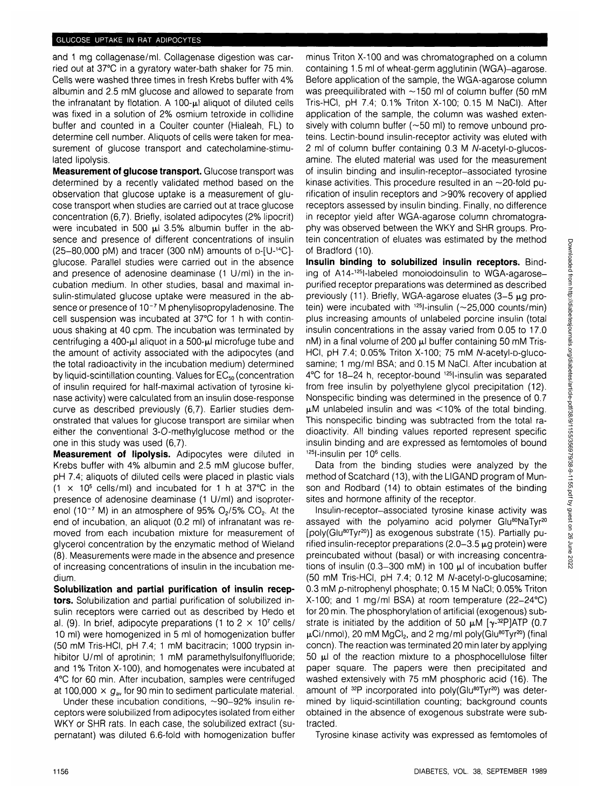and 1 mg collagenase/ml. Collagenase digestion was carried out at 37°C in a gyratory water-bath shaker for 75 min. Cells were washed three times in fresh Krebs buffer with 4% albumin and 2.5 mM glucose and allowed to separate from the infranatant by flotation. A 100-ul aliquot of diluted cells was fixed in a solution of 2% osmium tetroxide in collidine buffer and counted in a Coulter counter (Hialeah, FL) to determine cell number. Aliquots of cells were taken for measurement of glucose transport and catecholamine-stimulated lipolysis.

**Measurement of glucose transport.** Glucose transport was determined by a recently validated method based on the observation that glucose uptake is a measurement of glucose transport when studies are carried out at trace glucose concentration (6,7). Briefly, isolated adipocytes (2% lipocrit) were incubated in 500  $\mu$ l 3.5% albumin buffer in the absence and presence of different concentrations of insulin  $(25-80,000 \text{ pM})$  and tracer (300 nM) amounts of  $D$ -[U-<sup>14</sup>C]glucose. Parallel studies were carried out in the absence and presence of adenosine deaminase (1 U/ml) in the incubation medium. In other studies, basal and maximal insulin-stimulated glucose uptake were measured in the absence or presence of 10<sup>-7</sup> M phenylisopropyladenosine. The cell suspension was incubated at 37°C for 1 h with continuous shaking at 40 cpm. The incubation was terminated by centrifuging a 400- $\mu$ l aliquot in a 500- $\mu$ l microfuge tube and the amount of activity associated with the adipocytes (and the total radioactivity in the incubation medium) determined by liquid-scintillation counting. Values for EC<sub>50</sub> (concentration of insulin required for half-maximal activation of tyrosine kinase activity) were calculated from an insulin dose-response curve as described previously (6,7). Earlier studies demonstrated that values for glucose transport are similar when either the conventional 3-O-methylglucose method or the one in this study was used (6,7).

**Measurement of lipolysis.** Adipocytes were diluted in Krebs buffer with 4% albumin and 2.5 mM glucose buffer, pH 7.4; aliquots of diluted cells were placed in plastic vials  $(1 \times 10^5 \text{ cells/ml})$  and incubated for 1 h at 37°C in the presence of adenosine deaminase (1 U/ml) and isoproterenol (10<sup>-7</sup> M) in an atmosphere of 95%  $O<sub>2</sub>$ /5%  $CO<sub>2</sub>$ . At the end of incubation, an aliquot (0.2 ml) of infranatant was removed from each incubation mixture for measurement of glycerol concentration by the enzymatic method of Wieland (8). Measurements were made in the absence and presence of increasing concentrations of insulin in the incubation medium.

**Solubilization and partial purification of insulin receptors.** Solubilization and partial purification of solubilized insulin receptors were carried out as described by Hedo et al. (9). In brief, adipocyte preparations (1 to  $2 \times 10^7$  cells/ 10 ml) were homogenized in 5 ml of homogenization buffer (50 mM Tris-HCI, pH 7.4; 1 mM bacitracin; 1000 trypsin inhibitor U/ml of aprotinin; 1 mM paramethylsulfonylfluoride; and 1% Triton X-100), and homogenates were incubated at 4°C for 60 min. After incubation, samples were centrifuged at 100,000  $\times$   $g_{av}$  for 90 min to sediment particulate material.

Under these incubation conditions, —90-92% insulin receptors were solubilized from adipocytes isolated from either WKY or SHR rats. In each case, the solubilized extract (supernatant) was diluted 6.6-fold with homogenization buffer

minus Triton X-100 and was chromatographed on a column containing 1.5 ml of wheat-germ agglutinin (WGA)-agarose. Before application of the sample, the WGA-agarose column was preequilibrated with  $\sim$ 150 ml of column buffer (50 mM Tris-HCI, pH 7.4; 0.1% Triton X-100; 0.15 M NaCI). After application of the sample, the column was washed extensively with column buffer ( $\sim$ 50 ml) to remove unbound proteins. Lectin-bound insulin-receptor activity was eluted with 2 ml of column buffer containing 0.3 M N-acetyl-p-glucosamine. The eluted material was used for the measurement of insulin binding and insulin-receptor-associated tyrosine kinase activities. This procedure resulted in an  $\sim$ 20-fold purification of insulin receptors and >90% recovery of applied receptors assessed by insulin binding. Finally, no difference in receptor yield after WGA-agarose column chromatography was observed between the WKY and SHR groups. Protein concentration of eluates was estimated by the method of Bradford (10).

**Insulin binding to solubilized insulin receptors.** Binding of A14-125l-labeled monoiodoinsulin to WGA-agarosepurified receptor preparations was determined as described previously  $(11)$ . Briefly, WGA-agarose eluates  $(3-5 \text{ µq pro-}$ tein) were incubated with  $125$ -insulin (~25,000 counts/min) plus increasing amounts of unlabeled porcine insulin (total insulin concentrations in the assay varied from 0.05 to 17.0 nM) in a final volume of 200 µ buffer containing 50 mM Tris-HCI, pH 7.4; 0.05% Triton X-100; 75 mM N-acetyl-p-glucosamine; 1 mg/ml BSA; and 0.15 M NaCI. After incubation at 4°C for 18-24 h, receptor-bound 125l-insulin was separated from free insulin by polyethylene glycol precipitation (12). Nonspecific binding was determined in the presence of 0.7  $\mu$ M unlabeled insulin and was <10% of the total binding. This nonspecific binding was subtracted from the total radioactivity. All binding values reported represent specific insulin binding and are expressed as femtomoles of bound <sup>125</sup>l-insulin per 10<sup>6</sup> cells.

Data from the binding studies were analyzed by the method of Scatchard (13), with the LIGAND program of Munson and Rodbard (14) to obtain estimates of the binding sites and hormone affinity of the receptor.

Insulin-receptor-associated tyrosine kinase activity was assayed with the polyamino acid polymer Glu<sup>80</sup>NaTyr<sup>20</sup> [poly(Glu<sup>80</sup>Tyr<sup>20</sup>)] as exogenous substrate (15). Partially purified insulin-receptor preparations  $(2.0-3.5 \mu\text{q}$  protein) were preincubated without (basal) or with increasing concentrations of insulin (0.3-300 mM) in 100  $\mu$ l of incubation buffer (50 mM Tris-HCI, pH 7.4; 0.12 M A/-acetyl-D-glucosamine; 0.3 mM p-nitrophenyl phosphate; 0.15 M NaCI; 0.05% Triton X-100; and 1 mg/ml BSA) at room temperature (22-24°C) for 20 min. The phosphorylation of artificial (exogenous) substrate is initiated by the addition of 50  $\mu$ M [ $\gamma$ -<sup>32</sup>P]ATP (0.7  $\mu$ Ci/nmol), 20 mM MgCl<sub>2</sub>, and 2 mg/ml poly(Glu<sup>80</sup>Tyr<sup>20</sup>) (final concn). The reaction was terminated 20 min later by applying 50  $\mu$ I of the reaction mixture to a phosphocellulose filter paper square. The papers were then precipitated and washed extensively with 75 mM phosphoric acid (16). The amount of <sup>32</sup>P incorporated into poly(Glu<sup>80</sup>Tyr<sup>20</sup>) was determined by liquid-scintillation counting; background counts obtained in the absence of exogenous substrate were subtracted.

Tyrosine kinase activity was expressed as femtomoles of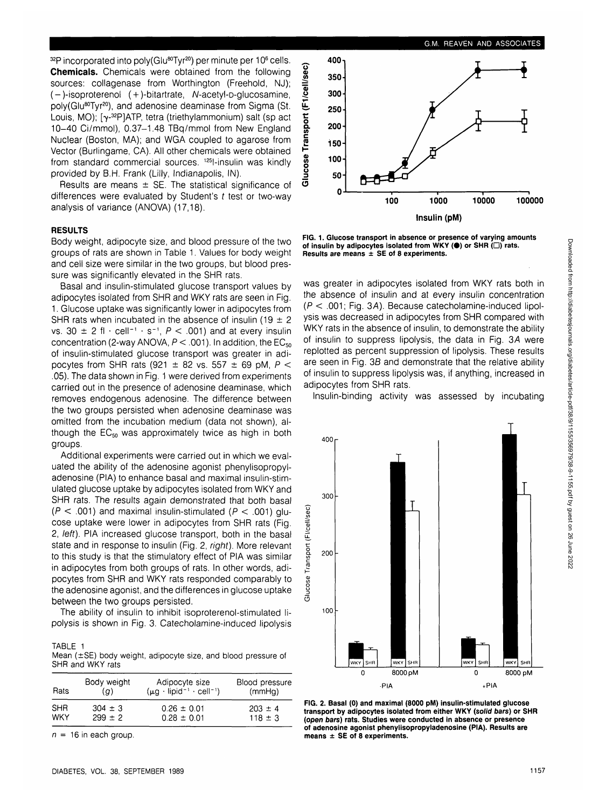<sup>32</sup>P incorporated into poly(Glu<sup>80</sup>Tyr<sup>20</sup>) per minute per 10<sup>6</sup> cells. **Chemicals.** Chemicals were obtained from the following sources: collagenase from Worthington (Freehold, NJ);  $(-)$ -isoproterenol  $(+)$ -bitartrate, N-acetyl-p-glucosamine, poly(Glu<sup>80</sup>Tyr<sup>20</sup>), and adenosine deaminase from Sigma (St. Louis, MO); [7-32P]ATP, tetra (triethylammonium) salt (sp act 10-40 Ci/mmol), 0.37-1.48 TBq/mmol from New England Nuclear (Boston, MA); and WGA coupled to agarose from Vector (Burlingame, CA). All other chemicals were obtained from standard commercial sources. <sup>125</sup>l-insulin was kindly provided by B.H. Frank (Lilly, Indianapolis, IN).

Results are means  $\pm$  SE. The statistical significance of differences were evaluated by Student's  $t$  test or two-way analysis of variance (ANOVA) (17,18).

### **RESULTS**

Body weight, adipocyte size, and blood pressure of the two groups of rats are shown in Table 1. Values for body weight and cell size were similar in the two groups, but blood pressure was significantly elevated in the SHR rats.

Basal and insulin-stimulated glucose transport values by adipocytes isolated from SHR and WKY rats are seen in Fig. 1. Glucose uptake was significantly lower in adipocytes from SHR rats when incubated in the absence of insulin (19  $\pm$  2 vs.  $30 \pm 2$  fl  $\cdot$  cell<sup>-1</sup>  $\cdot$  s<sup>-1</sup>,  $P < .001$ ) and at every insulin concentration (2-way ANOVA,  $P < .001$ ). In addition, the EC<sub>50</sub> of insulin-stimulated glucose transport was greater in adipocytes from SHR rats (921  $\pm$  82 vs. 557  $\pm$  69 pM, P < .05). The data shown in Fig. 1 were derived from experiments carried out in the presence of adenosine deaminase, which removes endogenous adenosine. The difference between the two groups persisted when adenosine deaminase was omitted from the incubation medium (data not shown), although the  $EC_{50}$  was approximately twice as high in both groups.

Additional experiments were carried out in which we evaluated the ability of the adenosine agonist phenylisopropyladenosine (PIA) to enhance basal and maximal insulin-stimulated glucose uptake by adipocytes isolated from WKY and SHR rats. The results again demonstrated that both basal  $(P < .001)$  and maximal insulin-stimulated  $(P < .001)$  glucose uptake were lower in adipocytes from SHR rats (Fig. 2, left). PIA increased glucose transport, both in the basal state and in response to insulin (Fig. 2, right). More relevant to this study is that the stimulatory effect of PIA was similar in adipocytes from both groups of rats. In other words, adipocytes from SHR and WKY rats responded comparably to the adenosine agonist, and the differences in glucose uptake between the two groups persisted.

The ability of insulin to inhibit isoproterenol-stimulated lipolysis is shown in Fig. 3. Catecholamine-induced lipolysis

TABLE 1 Mean (±SE) body weight, adipocyte size, and blood pressure of SHR and WKY rats

| <b>Rats</b> | Body weight | Adipocyte size                                            | Blood pressure |
|-------------|-------------|-----------------------------------------------------------|----------------|
|             | (a)         | $(\mu g \cdot$ lipid <sup>-1</sup> · cell <sup>-1</sup> ) | (mmHg)         |
| <b>SHR</b>  | $304 \pm 3$ | $0.26 \pm 0.01$                                           | $203 \pm 4$    |
| <b>WKY</b>  | $299 \pm 2$ | $0.28 \pm 0.01$                                           | $118 \pm 3$    |

 $n = 16$  in each group.



**FIG. 1. Glucose transport in absence or presence of varying amounts** of insulin by adipocytes isolated from WKY ( $\bullet$ ) or SHR ( $\square$ ) rats. **Results are means ± SE of 8 experiments.**

was greater in adipocytes isolated from WKY rats both in the absence of insulin and at every insulin concentration  $(P < .001$ ; Fig. 3A). Because catecholamine-induced lipolysis was decreased in adipocytes from SHR compared with WKY rats in the absence of insulin, to demonstrate the ability of insulin to suppress lipolysis, the data in Fig. 3A were replotted as percent suppression of lipolysis. These results are seen in Fig. 3B and demonstrate that the relative ability of insulin to suppress lipolysis was, if anything, increased in adipocytes from SHR rats.

Insulin-binding activity was assessed by incubating



**FIG. 2. Basal (0) and maximal (8000 pM) insulin-stimulated glucose transport by adipocytes isolated from either WKY (solid bars) or SHR (open bars) rats. Studies were conducted in absence or presence of adenosine agonist phenylisopropyladenosine (PIA). Results are means ± SE of 8 experiments.**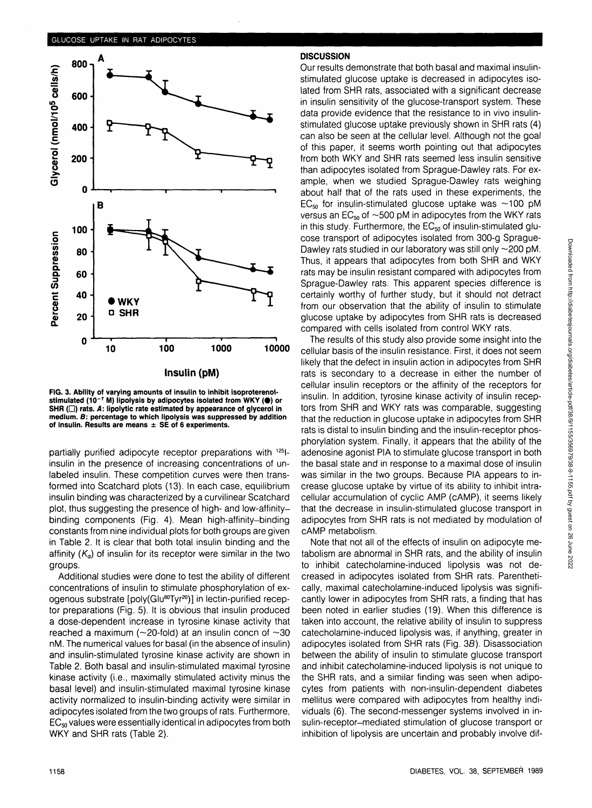

**FIG. 3. Ability of varying amounts of insulin to inhibit isoproterenolstimulated (10~<sup>7</sup> M) lipolysis by adipocytes isolated from WKY (•) or SHR (D) rats. A: lipolytic rate estimated by appearance of glycerol in medium. B: percentage to which lipolysis was suppressed by addition of insulin. Results are means ± SE of 6 experiments.**

partially purified adipocyte receptor preparations with <sup>125</sup>insulin in the presence of increasing concentrations of unlabeled insulin. These competition curves were then transformed into Scatchard plots (13). In each case, equilibrium insulin binding was characterized by a curvilinear Scatchard plot, thus suggesting the presence of high- and low-affinitybinding components (Fig. 4). Mean high-affinity-binding constants from nine individual plots for both groups are given in Table 2. It is clear that both total insulin binding and the affinity  $(K_d)$  of insulin for its receptor were similar in the two groups.

Additional studies were done to test the ability of different concentrations of insulin to stimulate phosphorylation of exogenous substrate [poly(Glu<sup>80</sup>Tyr<sup>20</sup>)] in lectin-purified receptor preparations (Fig. 5). It is obvious that insulin produced a dose-dependent increase in tyrosine kinase activity that reached a maximum ( $\sim$ 20-fold) at an insulin concn of  $\sim$ 30 nM. The numerical values for basal (in the absence of insulin) and insulin-stimulated tyrosine kinase activity are shown in Table 2. Both basal and insulin-stimulated maximal tyrosine kinase activity (i.e., maximally stimulated activity minus the basal level) and insulin-stimulated maximal tyrosine kinase activity normalized to insulin-binding activity were similar in adipocytes isolated from the two groups of rats. Furthermore, EC<sub>50</sub> values were essentially identical in adipocytes from both WKY and SHR rats (Table 2).

## **DISCUSSION**

Our results demonstrate that both basal and maximal insulinstimulated glucose uptake is decreased in adipocytes isolated from SHR rats, associated with a significant decrease in insulin sensitivity of the glucose-transport system. These data provide evidence that the resistance to in vivo insulinstimulated glucose uptake previously shown in SHR rats (4) can also be seen at the cellular level. Although not the goal of this paper, it seems worth pointing out that adipocytes from both WKY and SHR rats seemed less insulin sensitive than adipocytes isolated from Sprague-Dawley rats. For example, when we studied Sprague-Dawley rats weighing about half that of the rats used in these experiments, the  $EC_{50}$  for insulin-stimulated glucose uptake was  $\sim$ 100 pM versus an  $EC_{50}$  of  $\sim$  500 pM in adipocytes from the WKY rats in this study. Furthermore, the  $EC_{50}$  of insulin-stimulated glucose transport of adipocytes isolated from 300-g Sprague-Dawley rats studied in our laboratory was still only  $\sim$  200 pM. Thus, it appears that adipocytes from both SHR and WKY rats may be insulin resistant compared with adipocytes from Sprague-Dawley rats. This apparent species difference is certainly worthy of further study, but it should not detract from our observation that the ability of insulin to stimulate glucose uptake by adipocytes from SHR rats is decreased compared with cells isolated from control WKY rats.

The results of this study also provide some insight into the cellular basis of the insulin resistance. First, it does not seem likely that the defect in insulin action in adipocytes from SHR rats is secondary to a decrease in either the number of cellular insulin receptors or the affinity of the receptors for insulin. In addition, tyrosine kinase activity of insulin receptors from SHR and WKY rats was comparable, suggesting that the reduction in glucose uptake in adipocytes from SHR rats is distal to insulin binding and the insulin-receptor phosphorylation system. Finally, it appears that the ability of the adenosine agonist PIA to stimulate glucose transport in both the basal state and in response to a maximal dose of insulin was similar in the two groups. Because PIA appears to increase glucose uptake by virtue of its ability to inhibit intracellular accumulation of cyclic AMP (cAMP), it seems likely that the decrease in insulin-stimulated glucose transport in adipocytes from SHR rats is not mediated by modulation of cAMP metabolism.

Note that not all of the effects of insulin on adipocyte metabolism are abnormal in SHR rats, and the ability of insulin to inhibit catecholamine-induced lipolysis was not decreased in adipocytes isolated from SHR rats. Parenthetically, maximal catecholamine-induced lipolysis was significantly lower in adipocytes from SHR rats, a finding that has been noted in earlier studies (19). When this difference is taken into account, the relative ability of insulin to suppress catecholamine-induced lipolysis was, if anything, greater in adipocytes isolated from SHR rats (Fig. 3B). Disassociation between the ability of insulin to stimulate glucose transport and inhibit catecholamine-induced lipolysis is not unique to the SHR rats, and a similar finding was seen when adipocytes from patients with non-insulin-dependent diabetes mellitus were compared with adipocytes from healthy individuals (6). The second-messenger systems involved in insulin-receptor-mediated stimulation of glucose transport or inhibition of lipolysis are uncertain and probably involve dif-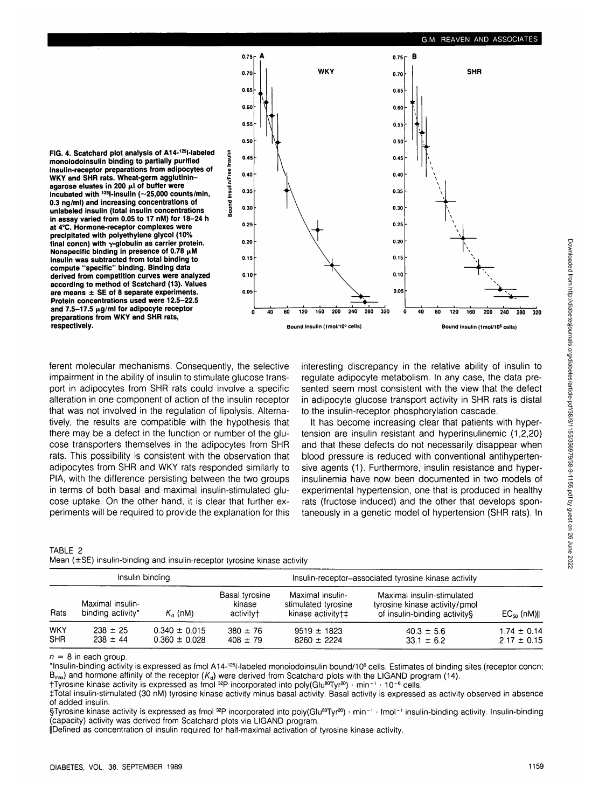



ferent molecular mechanisms. Consequently, the selective impairment in the ability of insulin to stimulate glucose transport in adipocytes from SHR rats could involve a specific alteration in one component of action of the insulin receptor that was not involved in the regulation of lipolysis. Alternatively, the results are compatible with the hypothesis that there may be a defect in the function or number of the glucose transporters themselves in the adipocytes from SHR rats. This possibility is consistent with the observation that adipocytes from SHR and WKY rats responded similarly to PIA, with the difference persisting between the two groups in terms of both basal and maximal insulin-stimulated glucose uptake. On the other hand, it is clear that further experiments will be required to provide the explanation for this

| interesting discrepancy in the relative ability of insulin to |
|---------------------------------------------------------------|
| regulate adipocyte metabolism. In any case, the data pre-     |
| sented seem most consistent with the view that the defect     |
| in adipocyte glucose transport activity in SHR rats is distal |
| to the insulin-receptor phosphorylation cascade.              |
|                                                               |

It has become increasing clear that patients with hypertension are insulin resistant and hyperinsulinemic (1,2,20) and that these defects do not necessarily disappear when blood pressure is reduced with conventional antihypertensive agents (1). Furthermore, insulin resistance and hyperinsulinemia have now been documented in two models of experimental hypertension, one that is produced in healthy rats (fructose induced) and the other that develops spontaneously in a genetic model of hypertension (SHR rats). In

| TABLE 2 |  |                                                                          |  |  |
|---------|--|--------------------------------------------------------------------------|--|--|
|         |  | Mean (±SE) insulin-binding and insulin-receptor tyrosine kinase activity |  |  |

| Insulin binding          |                                       |                                        | Insulin-receptor-associated tyrosine kinase activity |                                                              |                                                                                             |                                    |
|--------------------------|---------------------------------------|----------------------------------------|------------------------------------------------------|--------------------------------------------------------------|---------------------------------------------------------------------------------------------|------------------------------------|
| Rats                     | Maximal insulin-<br>binding activity* | $K_a$ (nM)                             | Basal tyrosine<br>kinase<br>activity+                | Maximal insulin-<br>stimulated tyrosine<br>kinase activity†‡ | Maximal insulin-stimulated<br>tyrosine kinase activity/pmol<br>of insulin-binding activity§ | $EC_{50}$ (nM)                     |
| <b>WKY</b><br><b>SHR</b> | $238 \pm 25$<br>$238 \pm 44$          | $0.340 \pm 0.015$<br>$0.360 \pm 0.028$ | $380 \pm 76$<br>$408 \pm 79$                         | $9519 \pm 1823$<br>$8260 \pm 2224$                           | $40.3 \pm 5.6$<br>$33.1 \pm 6.2$                                                            | $1.74 \pm 0.14$<br>$2.17 \pm 0.15$ |

 $n = 8$  in each group.

\*Insulin-binding activity is expressed as fmol A14-<sup>125</sup>l-labeled monoiodoinsulin bound/10<sup>6</sup> cells. Estimates of binding sites (receptor concn;  $B_{\text{max}}$ ) and hormone affinity of the receptor ( $K_d$ ) were derived from Scatchard plots with the LIGAND program (14).

fTyrosine kinase activity is expressed as fmol 32P incorporated into poly(Glu80Tyr20) • min"1 • 10~6 cells.

tTotal insulin-stimulated (30 nM) tyrosine kinase activity minus basal activity. Basal activity is expressed as activity observed in absence of added insulin.

 $\S$ Tyrosine kinase activity is expressed as fmol <sup>az</sup>P incorporated into poly(Glu<sup>80</sup>Tyr<sup>20</sup>) • min<sup>-1</sup> • fmol<sup>-1</sup> insulin-binding activity. Insulin-binding (capacity) activity was derived from Scatchard plots via LIGAND program.

IIDefined as concentration of insulin required for half-maximal activation of tyrosine kinase activity.